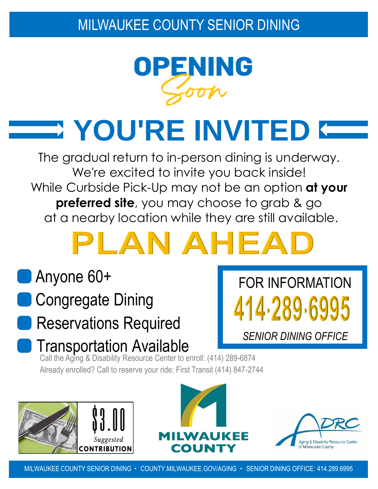## MILWAUKEE COUNTY SENIOR DINING



**YOU'RE INVITED**

The gradual return to in-person dining is underway. We're excited to invite you back inside! While Curbside Pick-Up may not be an option **at your preferred site**, you may choose to grab & go at a nearby location while they are still available.

# LAN AHEA

# Anyone 60+

- Congregate Dining
- Reservations Required
- **Transportation Available**

Call the Aging & Disability Resource Center to enroll: (414) 289-6874 Already enrolled? Call to reserve your ride: First Transit (414) 847-2744







FOR INFORMATION

14.289.69

*SENIOR DINING OFFICE*

MILWAUKEE COUNTY SENIOR DINING · COUNTY.MILWAUKEE.GOV/AGING · SENIOR DINING OFFICE: 414.289.6995